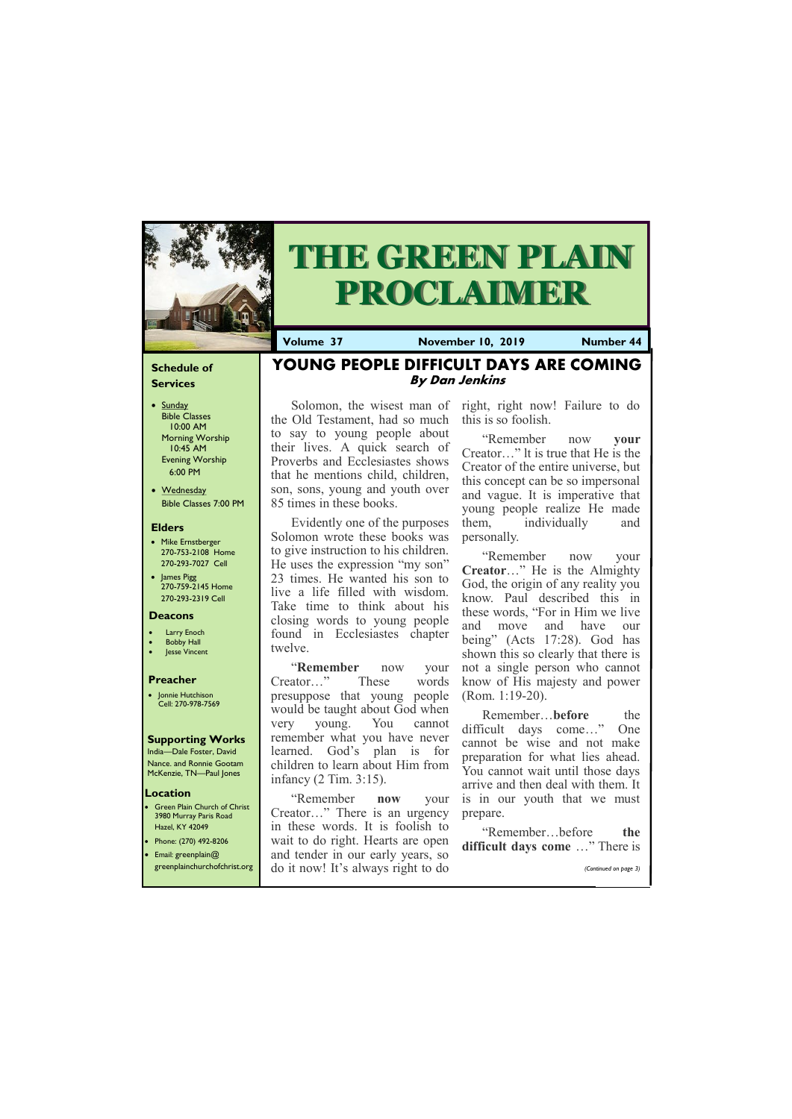## **Schedule of Services**

- Sunday Bible Classes 10:00 AM Morning Worship 10:45 AM Evening Worship 6:00 PM
- Wednesday Bible Classes 7:00 PM

#### **Elders**

**Green Plain Church of Christ** 3980 Murray Paris Road Hazel, KY 42049 • Phone: (270) 492-8206

- Mike Ernstberger 270-753-2108 Home 270-293-7027 Cell
- James Pigg 270-759-2145 Home 270-293-2319 Cell

#### **Location**



# **THE GREEN PLAIN PROCLAIMER**

**Volume 37 November 10, 2019 Number 44**

#### **Deacons**

- **Larry Enoch**
- **Bobby Hall**
- **Jesse Vincent**

### **Preacher**

• Jonnie Hutchison Cell: 270-978-7569

#### **Supporting Works**

India—Dale Foster, David Nance. and Ronnie Gootam McKenzie, TN—Paul Jones

## **YOUNG PEOPLE DIFFICULT DAYS ARE COMING By Dan Jenkins**

the Old Testament, had so much to say to young people about their lives. A quick search of Proverbs and Ecclesiastes shows that he mentions child, children, son, sons, young and youth over 85 times in these books.

Solomon, the wisest man of right, right now! Failure to do this is so foolish.

Evidently one of the purposes Solomon wrote these books was to give instruction to his children. He uses the expression "my son" 23 times. He wanted his son to live a life filled with wisdom. Take time to think about his closing words to young people found in Ecclesiastes chapter twelve.

"**Remember** now your Creator…" These words presuppose that young people would be taught about God when very young. You cannot remember what you have never learned. God's plan is for children to learn about Him from infancy (2 Tim. 3:15).

| • Email: greenplain $@$ | and tender in our early years, so | $\alpha$ annicult days come $\ldots$ increased |
|-------------------------|-----------------------------------|------------------------------------------------|
|                         | s always right to do              | (Continued on page 3)                          |

"Remember **now** your Creator…" There is an urgency in these words. It is foolish to wait to do right. Hearts are open

"Remember now **your**  Creator…" lt is true that He is the Creator of the entire universe, but this concept can be so impersonal and vague. It is imperative that young people realize He made them, individually and personally.

"Remember now your **Creator**…" He is the Almighty God, the origin of any reality you know. Paul described this in these words, "For in Him we live and move and have our being" (Acts 17:28). God has shown this so clearly that there is not a single person who cannot know of His majesty and power (Rom. 1:19-20).

Remember…**before** the difficult days come…" One cannot be wise and not make preparation for what lies ahead. You cannot wait until those days arrive and then deal with them. It is in our youth that we must prepare.

"Remember…before **the difficult days come** …" There is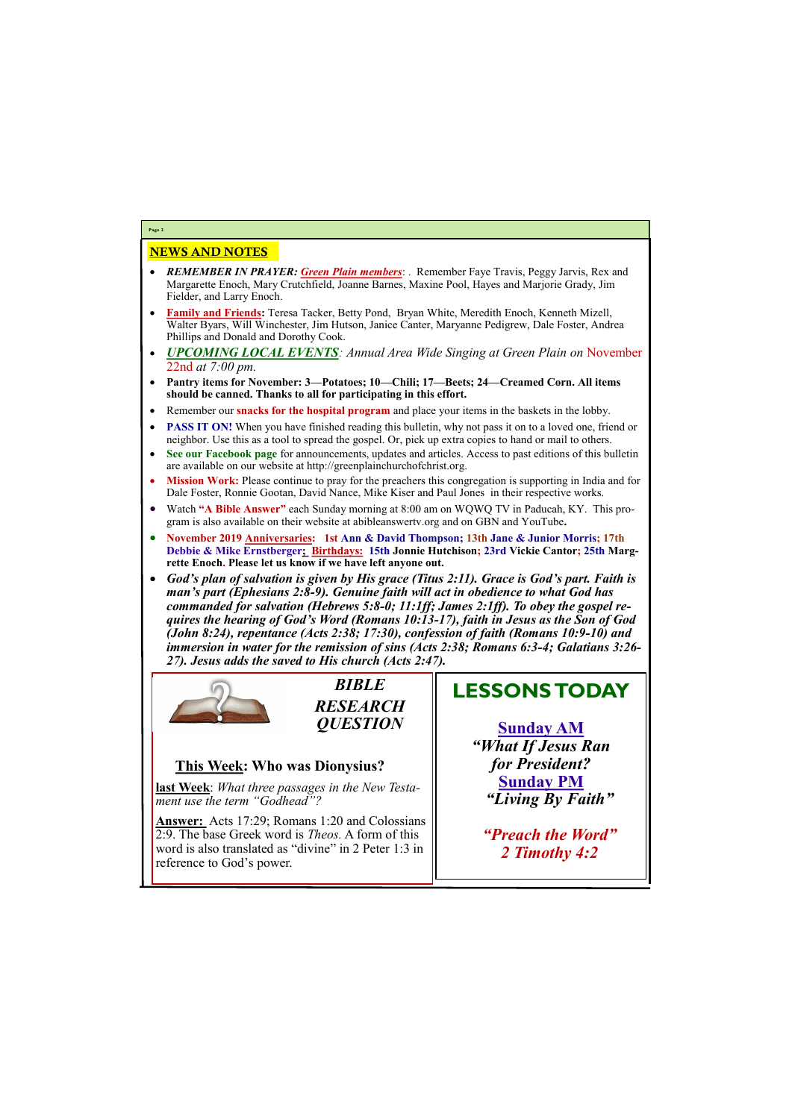## NEWS AND NOTES

- *REMEMBER IN PRAYER: Green Plain members*: . Remember Faye Travis, Peggy Jarvis, Rex and Margarette Enoch, Mary Crutchfield, Joanne Barnes, Maxine Pool, Hayes and Marjorie Grady, Jim Fielder, and Larry Enoch.
- **Family and Friends:** Teresa Tacker, Betty Pond, Bryan White, Meredith Enoch, Kenneth Mizell, Walter Byars, Will Winchester, Jim Hutson, Janice Canter, Maryanne Pedigrew, Dale Foster, Andrea Phillips and Donald and Dorothy Cook.
- *UPCOMING LOCAL EVENTS: Annual Area Wide Singing at Green Plain on* November 22nd *at 7:00 pm.*
- **Pantry items for November: 3—Potatoes; 10—Chili; 17—Beets; 24—Creamed Corn. All items should be canned. Thanks to all for participating in this effort.**
- Remember our **snacks for the hospital program** and place your items in the baskets in the lobby.
- **PASS IT ON!** When you have finished reading this bulletin, why not pass it on to a loved one, friend or neighbor. Use this as a tool to spread the gospel. Or, pick up extra copies to hand or mail to others.
- **See our Facebook page** for announcements, updates and articles. Access to past editions of this bulletin are available on our website at http://greenplainchurchofchrist.org.
- **Mission Work:** Please continue to pray for the preachers this congregation is supporting in India and for Dale Foster, Ronnie Gootan, David Nance, Mike Kiser and Paul Jones in their respective works.
- Watch **"A Bible Answer"** each Sunday morning at 8:00 am on WQWQ TV in Paducah, KY. This program is also available on their website at abibleanswertv.org and on GBN and YouTube**.**
- **November 2019 Anniversaries: 1st Ann & David Thompson; 13th Jane & Junior Morris; 17th Debbie & Mike Ernstberger; Birthdays: 15th Jonnie Hutchison; 23rd Vickie Cantor; 25th Margrette Enoch. Please let us know if we have left anyone out.**
- *God's plan of salvation is given by His grace (Titus 2:11). Grace is God's part. Faith is man's part (Ephesians 2:8-9). Genuine faith will act in obedience to what God has commanded for salvation (Hebrews 5:8-0; 11:1ff; James 2:1ff). To obey the gospel requires the hearing of God's Word (Romans 10:13-17), faith in Jesus as the Son of God (John 8:24), repentance (Acts 2:38; 17:30), confession of faith (Romans 10:9-10) and immersion in water for the remission of sins (Acts 2:38; Romans 6:3-4; Galatians 3:26- 27). Jesus adds the saved to His church (Acts 2:47).*



**Page 2**

*BIBLE RESEARCH QUESTION*

## **This Week: Who was Dionysius?**

**last Week**: *What three passages in the New Testament use the term "Godhead"?*

**Answer:** Acts 17:29; Romans 1:20 and Colossians 2:9. The base Greek word is *Theos.* A form of this word is also translated as "divine" in 2 Peter 1:3 in reference to God's power.

# **LESSONS TODAY**

**Sunday AM** *"What If Jesus Ran for President?* **Sunday PM** *"Living By Faith"*

*"Preach the Word"*

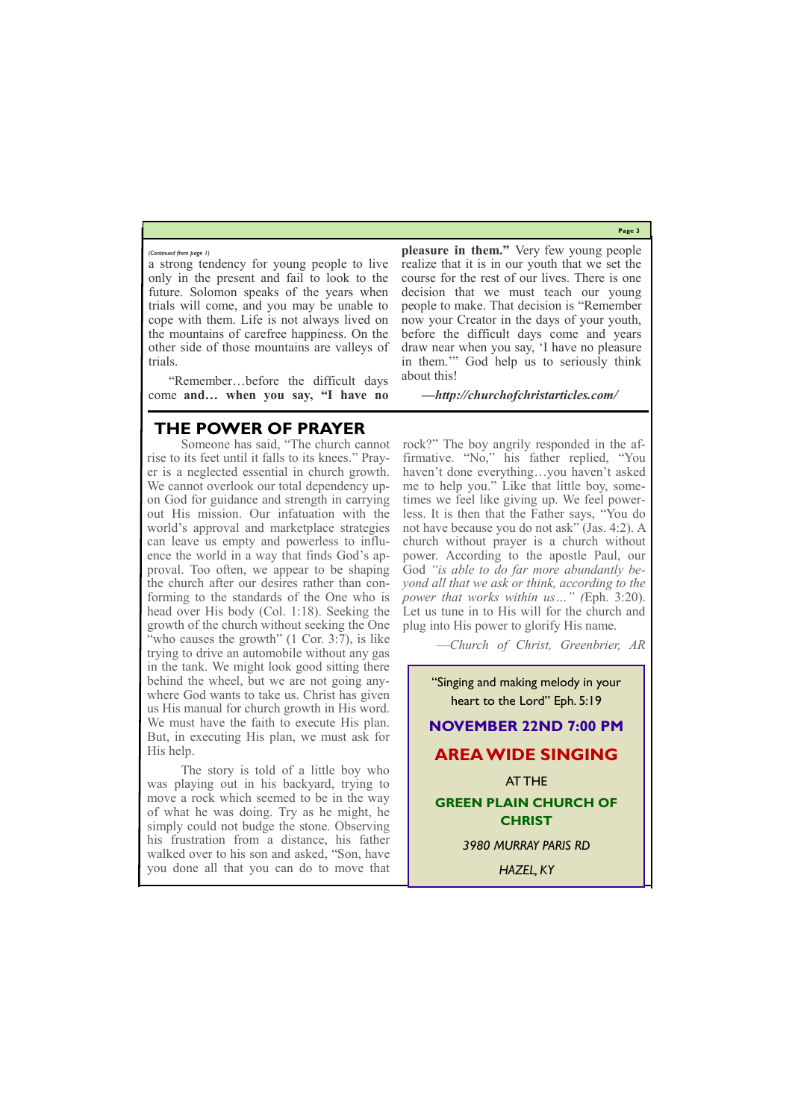**Page 3**

a strong tendency for young people to live only in the present and fail to look to the future. Solomon speaks of the years when trials will come, and you may be unable to cope with them. Life is not always lived on the mountains of carefree happiness. On the other side of those mountains are valleys of trials.

"Remember…before the difficult days come **and… when you say, "I have no**  **pleasure in them."** Very few young people realize that it is in our youth that we set the course for the rest of our lives. There is one decision that we must teach our young people to make. That decision is "Remember now your Creator in the days of your youth, before the difficult days come and years draw near when you say, 'I have no pleasure in them.'" God help us to seriously think about this!

*—http://churchofchristarticles.com/*

*(Continued from page 1)*

## **THE POWER OF PRAYER**

Someone has said, "The church cannot rise to its feet until it falls to its knees." Prayer is a neglected essential in church growth. We cannot overlook our total dependency upon God for guidance and strength in carrying out His mission. Our infatuation with the world's approval and marketplace strategies can leave us empty and powerless to influence the world in a way that finds God's approval. Too often, we appear to be shaping the church after our desires rather than conforming to the standards of the One who is head over His body (Col. 1:18). Seeking the growth of the church without seeking the One "who causes the growth" (1 Cor. 3:7), is like trying to drive an automobile without any gas in the tank. We might look good sitting there behind the wheel, but we are not going anywhere God wants to take us. Christ has given us His manual for church growth in His word. We must have the faith to execute His plan. But, in executing His plan, we must ask for His help.

The story is told of a little boy who was playing out in his backyard, trying to move a rock which seemed to be in the way of what he was doing. Try as he might, he simply could not budge the stone. Observing his frustration from a distance, his father

| walked over to his son and asked, "Son, have |  |
|----------------------------------------------|--|
| you done all that you can do to move that    |  |

rock?" The boy angrily responded in the affirmative. "No," his father replied, "You haven't done everything…you haven't asked me to help you." Like that little boy, sometimes we feel like giving up. We feel powerless. It is then that the Father says, "You do not have because you do not ask" (Jas. 4:2). A church without prayer is a church without power. According to the apostle Paul, our God *"is able to do far more abundantly beyond all that we ask or think, according to the power that works within us…" (*Eph. 3:20). Let us tune in to His will for the church and plug into His power to glorify His name.

—*Church of Christ, Greenbrier, AR*



*HAZEL, KY*